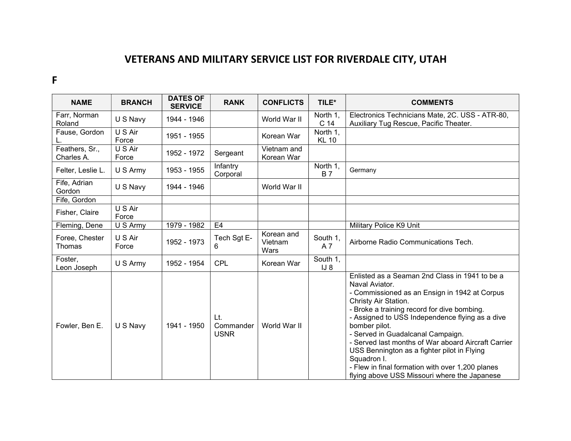## VETERANS AND MILITARY SERVICE LIST FOR RIVERDALE CITY, UTAH

F

| <b>NAME</b>                  | <b>BRANCH</b>    | <b>DATES OF</b><br><b>SERVICE</b> | <b>RANK</b>                     | <b>CONFLICTS</b>              | TILE*                    | <b>COMMENTS</b>                                                                                                                                                                                                                                                                                                                                                                                                                                                                                                            |
|------------------------------|------------------|-----------------------------------|---------------------------------|-------------------------------|--------------------------|----------------------------------------------------------------------------------------------------------------------------------------------------------------------------------------------------------------------------------------------------------------------------------------------------------------------------------------------------------------------------------------------------------------------------------------------------------------------------------------------------------------------------|
| Farr, Norman<br>Roland       | U S Navy         | 1944 - 1946                       |                                 | World War II                  | North 1.<br>C 14         | Electronics Technicians Mate, 2C. USS - ATR-80,<br>Auxiliary Tug Rescue, Pacific Theater.                                                                                                                                                                                                                                                                                                                                                                                                                                  |
| Fause, Gordon                | U S Air<br>Force | 1951 - 1955                       |                                 | Korean War                    | North 1.<br><b>KL 10</b> |                                                                                                                                                                                                                                                                                                                                                                                                                                                                                                                            |
| Feathers, Sr.,<br>Charles A. | U S Air<br>Force | 1952 - 1972                       | Sergeant                        | Vietnam and<br>Korean War     |                          |                                                                                                                                                                                                                                                                                                                                                                                                                                                                                                                            |
| Felter, Leslie L.            | U S Army         | 1953 - 1955                       | Infantry<br>Corporal            |                               | North 1,<br><b>B</b> 7   | Germany                                                                                                                                                                                                                                                                                                                                                                                                                                                                                                                    |
| Fife, Adrian<br>Gordon       | U S Navy         | 1944 - 1946                       |                                 | World War II                  |                          |                                                                                                                                                                                                                                                                                                                                                                                                                                                                                                                            |
| Fife, Gordon                 |                  |                                   |                                 |                               |                          |                                                                                                                                                                                                                                                                                                                                                                                                                                                                                                                            |
| Fisher, Claire               | U S Air<br>Force |                                   |                                 |                               |                          |                                                                                                                                                                                                                                                                                                                                                                                                                                                                                                                            |
| Fleming, Dene                | U S Army         | 1979 - 1982                       | E4                              |                               |                          | Military Police K9 Unit                                                                                                                                                                                                                                                                                                                                                                                                                                                                                                    |
| Foree, Chester<br>Thomas     | U S Air<br>Force | 1952 - 1973                       | Tech Sgt E-<br>6                | Korean and<br>Vietnam<br>Wars | South 1,<br>A 7          | Airborne Radio Communications Tech.                                                                                                                                                                                                                                                                                                                                                                                                                                                                                        |
| Foster,<br>Leon Joseph       | U S Army         | 1952 - 1954                       | <b>CPL</b>                      | Korean War                    | South 1,<br>$IJ_8$       |                                                                                                                                                                                                                                                                                                                                                                                                                                                                                                                            |
| Fowler, Ben E.               | U S Navy         | 1941 - 1950                       | Lt.<br>Commander<br><b>USNR</b> | World War II                  |                          | Enlisted as a Seaman 2nd Class in 1941 to be a<br>Naval Aviator.<br>- Commissioned as an Ensign in 1942 at Corpus<br>Christy Air Station.<br>- Broke a training record for dive bombing.<br>- Assigned to USS Independence flying as a dive<br>bomber pilot.<br>- Served in Guadalcanal Campaign.<br>- Served last months of War aboard Aircraft Carrier<br>USS Bennington as a fighter pilot in Flying<br>Squadron I.<br>- Flew in final formation with over 1,200 planes<br>flying above USS Missouri where the Japanese |